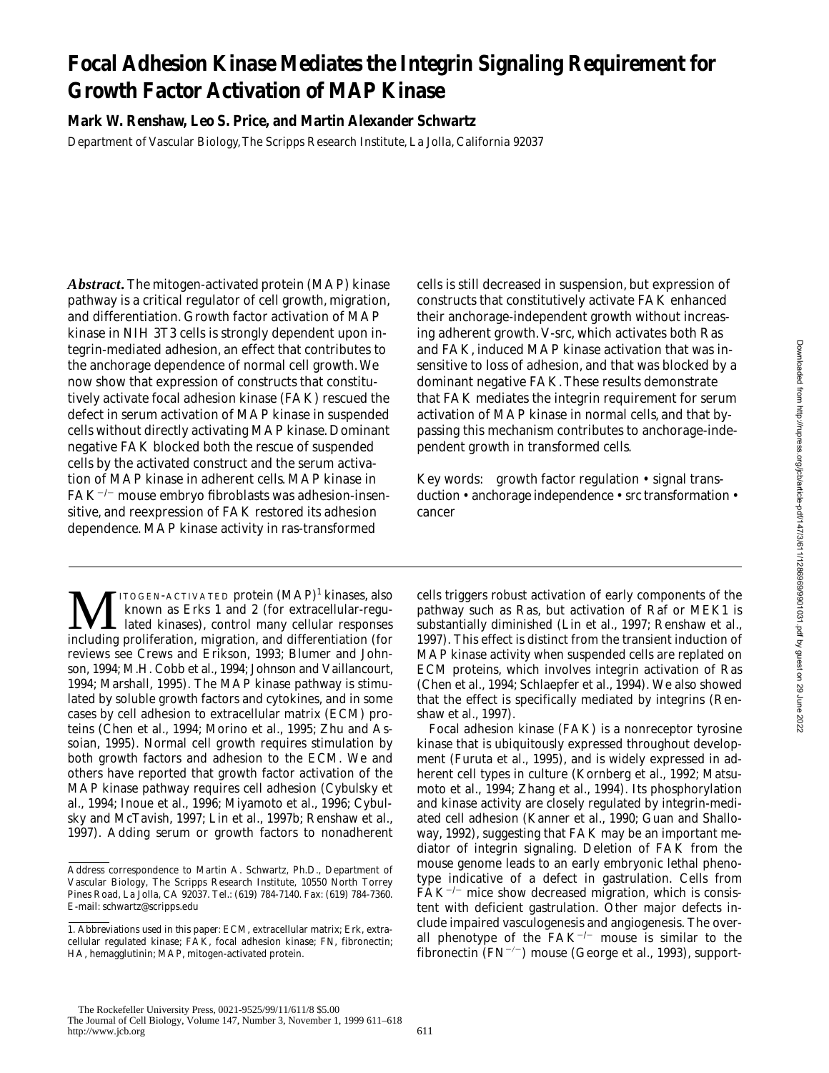# **Focal Adhesion Kinase Mediates the Integrin Signaling Requirement for Growth Factor Activation of MAP Kinase**

**Mark W. Renshaw, Leo S. Price, and Martin Alexander Schwartz**

Department of Vascular Biology, The Scripps Research Institute, La Jolla, California 92037

*Abstract.* The mitogen-activated protein (MAP) kinase pathway is a critical regulator of cell growth, migration, and differentiation. Growth factor activation of MAP kinase in NIH 3T3 cells is strongly dependent upon integrin-mediated adhesion, an effect that contributes to the anchorage dependence of normal cell growth. We now show that expression of constructs that constitutively activate focal adhesion kinase (FAK) rescued the defect in serum activation of MAP kinase in suspended cells without directly activating MAP kinase. Dominant negative FAK blocked both the rescue of suspended cells by the activated construct and the serum activation of MAP kinase in adherent cells. MAP kinase in  $FAK^{-/-}$  mouse embryo fibroblasts was adhesion-insensitive, and reexpression of FAK restored its adhesion dependence. MAP kinase activity in *ras*-transformed

 $\sum$   $\prod$   $\prod_{\text{rown}}$  as Erks 1 and 2 (for extracellular-regulated kinases), control many cellular responses including proliferation migration and differentiation (for ITOGEN-ACTIVATED protein (MAP)<sup>1</sup> kinases, also known as Erks 1 and 2 (for extracellular-reguincluding proliferation, migration, and differentiation (for reviews see Crews and Erikson, 1993; Blumer and Johnson, 1994; M.H. Cobb et al., 1994; Johnson and Vaillancourt, 1994; Marshall, 1995). The MAP kinase pathway is stimulated by soluble growth factors and cytokines, and in some cases by cell adhesion to extracellular matrix (ECM) proteins (Chen et al., 1994; Morino et al., 1995; Zhu and Assoian, 1995). Normal cell growth requires stimulation by both growth factors and adhesion to the ECM. We and others have reported that growth factor activation of the MAP kinase pathway requires cell adhesion (Cybulsky et al., 1994; Inoue et al., 1996; Miyamoto et al., 1996; Cybulsky and McTavish, 1997; Lin et al., 1997b; Renshaw et al., 1997). Adding serum or growth factors to nonadherent cells is still decreased in suspension, but expression of constructs that constitutively activate FAK enhanced their anchorage-independent growth without increasing adherent growth. V-*src*, which activates both Ras and FAK, induced MAP kinase activation that was insensitive to loss of adhesion, and that was blocked by a dominant negative FAK. These results demonstrate that FAK mediates the integrin requirement for serum activation of MAP kinase in normal cells, and that bypassing this mechanism contributes to anchorage-independent growth in transformed cells.

Key words: growth factor regulation • signal transduction • anchorage independence • src transformation • cancer

cells triggers robust activation of early components of the pathway such as Ras, but activation of Raf or MEK1 is substantially diminished (Lin et al., 1997; Renshaw et al., 1997). This effect is distinct from the transient induction of MAP kinase activity when suspended cells are replated on ECM proteins, which involves integrin activation of Ras (Chen et al., 1994; Schlaepfer et al., 1994). We also showed that the effect is specifically mediated by integrins (Renshaw et al., 1997).

Focal adhesion kinase (FAK) is a nonreceptor tyrosine kinase that is ubiquitously expressed throughout development (Furuta et al., 1995), and is widely expressed in adherent cell types in culture (Kornberg et al., 1992; Matsumoto et al., 1994; Zhang et al., 1994). Its phosphorylation and kinase activity are closely regulated by integrin-mediated cell adhesion (Kanner et al., 1990; Guan and Shalloway, 1992), suggesting that FAK may be an important mediator of integrin signaling. Deletion of FAK from the mouse genome leads to an early embryonic lethal phenotype indicative of a defect in gastrulation. Cells from  $\tilde{F}AK^{-/-}$  mice show decreased migration, which is consistent with deficient gastrulation. Other major defects include impaired vasculogenesis and angiogenesis. The overall phenotype of the  $FAK^{-/-}$  mouse is similar to the fibronectin  $(FN^{-/-})$  mouse (George et al., 1993), support-

Address correspondence to Martin A. Schwartz, Ph.D., Department of Vascular Biology, The Scripps Research Institute, 10550 North Torrey Pines Road, La Jolla, CA 92037. Tel.: (619) 784-7140. Fax: (619) 784-7360. E-mail: schwartz@scripps.edu

<sup>1.</sup> *Abbreviations used in this paper:* ECM, extracellular matrix; Erk, extracellular regulated kinase; FAK, focal adhesion kinase; FN, fibronectin; HA, hemagglutinin; MAP, mitogen-activated protein.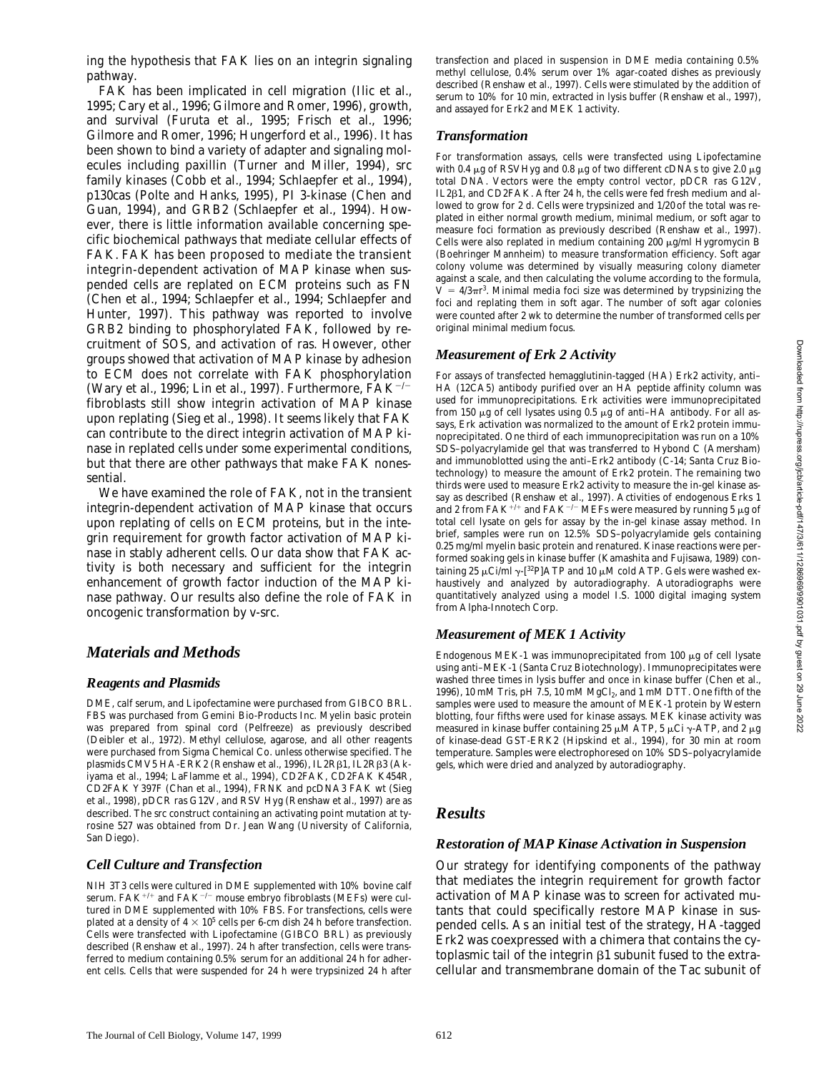FAK has been implicated in cell migration (Ilic et al., 1995; Cary et al., 1996; Gilmore and Romer, 1996), growth, and survival (Furuta et al., 1995; Frisch et al., 1996; Gilmore and Romer, 1996; Hungerford et al., 1996). It has been shown to bind a variety of adapter and signaling molecules including paxillin (Turner and Miller, 1994), src family kinases (Cobb et al., 1994; Schlaepfer et al., 1994), p130cas (Polte and Hanks, 1995), PI 3-kinase (Chen and Guan, 1994), and GRB2 (Schlaepfer et al., 1994). However, there is little information available concerning specific biochemical pathways that mediate cellular effects of FAK. FAK has been proposed to mediate the transient integrin-dependent activation of MAP kinase when suspended cells are replated on ECM proteins such as FN (Chen et al., 1994; Schlaepfer et al., 1994; Schlaepfer and Hunter, 1997). This pathway was reported to involve GRB2 binding to phosphorylated FAK, followed by recruitment of SOS, and activation of *ras*. However, other groups showed that activation of MAP kinase by adhesion to ECM does not correlate with FAK phosphorylation (Wary et al., 1996; Lin et al., 1997). Furthermore,  $FAK^{-/-}$ fibroblasts still show integrin activation of MAP kinase upon replating (Sieg et al., 1998). It seems likely that FAK can contribute to the direct integrin activation of MAP kinase in replated cells under some experimental conditions, but that there are other pathways that make FAK nonessential.

We have examined the role of FAK, not in the transient integrin-dependent activation of MAP kinase that occurs upon replating of cells on ECM proteins, but in the integrin requirement for growth factor activation of MAP kinase in stably adherent cells. Our data show that FAK activity is both necessary and sufficient for the integrin enhancement of growth factor induction of the MAP kinase pathway. Our results also define the role of FAK in oncogenic transformation by *v-src*.

## *Materials and Methods*

### *Reagents and Plasmids*

pathway.

DME, calf serum, and Lipofectamine were purchased from GIBCO BRL. FBS was purchased from Gemini Bio-Products Inc. Myelin basic protein was prepared from spinal cord (Pelfreeze) as previously described (Deibler et al., 1972). Methyl cellulose, agarose, and all other reagents were purchased from Sigma Chemical Co. unless otherwise specified. The plasmids CMV5 HA-ERK2 (Renshaw et al., 1996), IL2Rβ1, IL2Rβ3 (Akiyama et al., 1994; LaFlamme et al., 1994), CD2FAK, CD2FAK K454R, CD2FAK Y397F (Chan et al., 1994), FRNK and pcDNA3 FAK wt (Sieg et al., 1998), pDCR *ras* G12V, and RSV Hyg (Renshaw et al., 1997) are as described. The src construct containing an activating point mutation at tyrosine 527 was obtained from Dr. Jean Wang (University of California, San Diego).

### *Cell Culture and Transfection*

NIH 3T3 cells were cultured in DME supplemented with 10% bovine calf serum. FAK<sup>+/+</sup> and FAK<sup>-/-</sup> mouse embryo fibroblasts (MEFs) were cultured in DME supplemented with 10% FBS. For transfections, cells were plated at a density of  $4 \times 10^5$  cells per 6-cm dish 24 h before transfection. Cells were transfected with Lipofectamine (GIBCO BRL) as previously described (Renshaw et al., 1997). 24 h after transfection, cells were transferred to medium containing 0.5% serum for an additional 24 h for adherent cells. Cells that were suspended for 24 h were trypsinized 24 h after

transfection and placed in suspension in DME media containing 0.5% methyl cellulose, 0.4% serum over 1% agar-coated dishes as previously described (Renshaw et al., 1997). Cells were stimulated by the addition of serum to 10% for 10 min, extracted in lysis buffer (Renshaw et al., 1997), and assayed for Erk2 and MEK 1 activity.

### *Transformation*

For transformation assays, cells were transfected using Lipofectamine with 0.4  $\mu$ g of RSVHyg and 0.8  $\mu$ g of two different cDNAs to give 2.0  $\mu$ g total DNA. Vectors were the empty control vector, pDCR *ras* G12V, IL2b1, and CD2FAK. After 24 h, the cells were fed fresh medium and allowed to grow for 2 d. Cells were trypsinized and 1/20 of the total was replated in either normal growth medium, minimal medium, or soft agar to measure foci formation as previously described (Renshaw et al., 1997). Cells were also replated in medium containing  $200 \mu g/ml$  Hygromycin B (Boehringer Mannheim) to measure transformation efficiency. Soft agar colony volume was determined by visually measuring colony diameter against a scale, and then calculating the volume according to the formula,  $V = 4/3 \pi r^3$ . Minimal media foci size was determined by trypsinizing the foci and replating them in soft agar. The number of soft agar colonies were counted after 2 wk to determine the number of transformed cells per original minimal medium focus.

### *Measurement of Erk 2 Activity*

For assays of transfected hemagglutinin-tagged (HA) Erk2 activity, anti– HA (12CA5) antibody purified over an HA peptide affinity column was used for immunoprecipitations. Erk activities were immunoprecipitated from 150  $\mu$ g of cell lysates using 0.5  $\mu$ g of anti-HA antibody. For all assays, Erk activation was normalized to the amount of Erk2 protein immunoprecipitated. One third of each immunoprecipitation was run on a 10% SDS–polyacrylamide gel that was transferred to Hybond C (Amersham) and immunoblotted using the anti–Erk2 antibody (C-14; Santa Cruz Biotechnology) to measure the amount of Erk2 protein. The remaining two thirds were used to measure Erk2 activity to measure the in-gel kinase assay as described (Renshaw et al., 1997). Activities of endogenous Erks 1 and 2 from FAK<sup>+/+</sup> and FAK<sup>-/-</sup> MEFs were measured by running 5  $\mu$ g of total cell lysate on gels for assay by the in-gel kinase assay method. In brief, samples were run on 12.5% SDS–polyacrylamide gels containing 0.25 mg/ml myelin basic protein and renatured. Kinase reactions were performed soaking gels in kinase buffer (Kamashita and Fujisawa, 1989) containing 25  $\mu$ Ci/ml  $\gamma$ -[<sup>32</sup>P]ATP and 10  $\mu$ M cold ATP. Gels were washed exhaustively and analyzed by autoradiography. Autoradiographs were quantitatively analyzed using a model I.S. 1000 digital imaging system from Alpha-Innotech Corp.

### *Measurement of MEK 1 Activity*

Endogenous MEK-1 was immunoprecipitated from 100  $\mu$ g of cell lysate using anti–MEK-1 (Santa Cruz Biotechnology). Immunoprecipitates were washed three times in lysis buffer and once in kinase buffer (Chen et al., 1996), 10 mM Tris, pH 7.5, 10 mM  $MgCl<sub>2</sub>$ , and 1 mM DTT. One fifth of the samples were used to measure the amount of MEK-1 protein by Western blotting, four fifths were used for kinase assays. MEK kinase activity was measured in kinase buffer containing 25  $\mu$ M ATP, 5  $\mu$ Ci  $\gamma$ -ATP, and 2  $\mu$ g of kinase-dead GST-ERK2 (Hipskind et al., 1994), for 30 min at room temperature. Samples were electrophoresed on 10% SDS–polyacrylamide gels, which were dried and analyzed by autoradiography.

# *Results*

# *Restoration of MAP Kinase Activation in Suspension*

Our strategy for identifying components of the pathway that mediates the integrin requirement for growth factor activation of MAP kinase was to screen for activated mutants that could specifically restore MAP kinase in suspended cells. As an initial test of the strategy, HA-tagged Erk2 was coexpressed with a chimera that contains the cytoplasmic tail of the integrin  $\beta$ 1 subunit fused to the extracellular and transmembrane domain of the Tac subunit of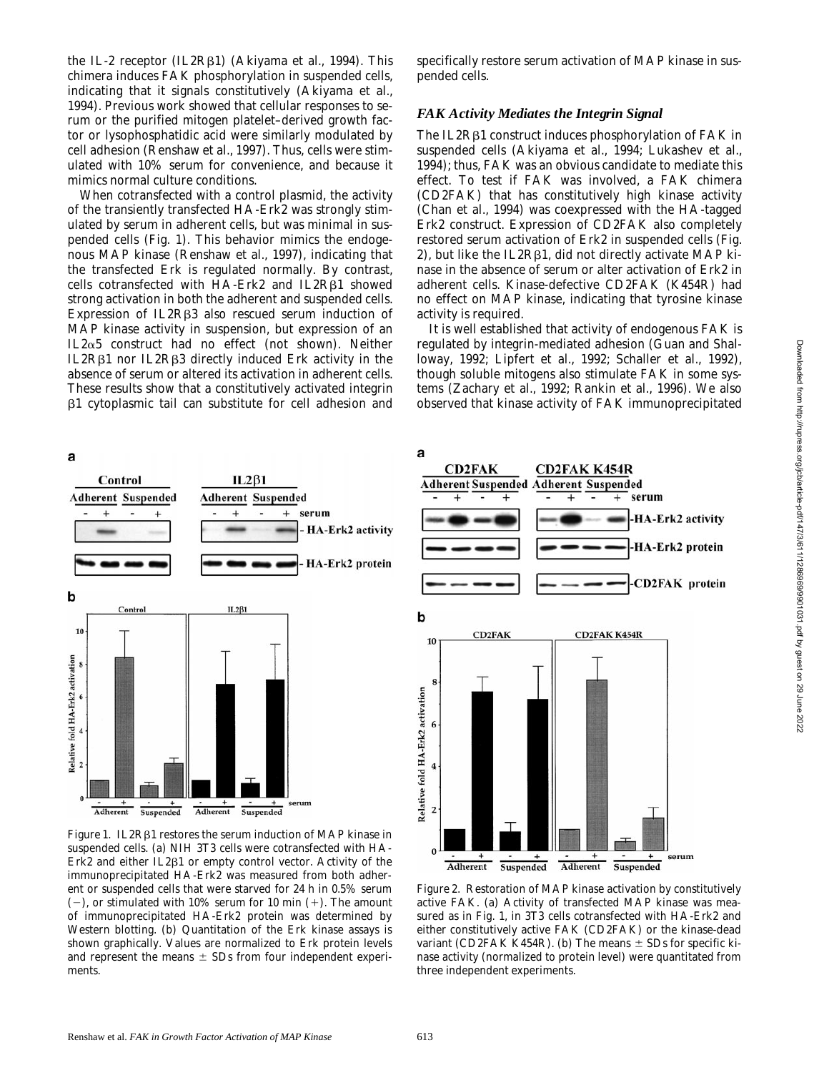the IL-2 receptor (IL2R<sub>B1</sub>) (Akiyama et al., 1994). This chimera induces FAK phosphorylation in suspended cells, indicating that it signals constitutively (Akiyama et al., 1994). Previous work showed that cellular responses to serum or the purified mitogen platelet–derived growth factor or lysophosphatidic acid were similarly modulated by cell adhesion (Renshaw et al., 1997). Thus, cells were stimulated with 10% serum for convenience, and because it mimics normal culture conditions.

When cotransfected with a control plasmid, the activity of the transiently transfected HA-Erk2 was strongly stimulated by serum in adherent cells, but was minimal in suspended cells (Fig. 1). This behavior mimics the endogenous MAP kinase (Renshaw et al., 1997), indicating that the transfected Erk is regulated normally. By contrast, cells cotransfected with  $HA$ -Erk2 and  $IL2R\beta1$  showed strong activation in both the adherent and suspended cells. Expression of IL2R $\beta$ 3 also rescued serum induction of MAP kinase activity in suspension, but expression of an IL $2\alpha$ 5 construct had no effect (not shown). Neither IL2Rb1 nor IL2Rb3 directly induced Erk activity in the absence of serum or altered its activation in adherent cells. These results show that a constitutively activated integrin b1 cytoplasmic tail can substitute for cell adhesion and specifically restore serum activation of MAP kinase in suspended cells.

#### *FAK Activity Mediates the Integrin Signal*

The IL2R<sub>B1</sub> construct induces phosphorylation of FAK in suspended cells (Akiyama et al., 1994; Lukashev et al., 1994); thus, FAK was an obvious candidate to mediate this effect. To test if FAK was involved, a FAK chimera (CD2FAK) that has constitutively high kinase activity (Chan et al., 1994) was coexpressed with the HA-tagged Erk2 construct. Expression of CD2FAK also completely restored serum activation of Erk2 in suspended cells (Fig. 2), but like the IL2R $\beta$ 1, did not directly activate MAP kinase in the absence of serum or alter activation of Erk2 in adherent cells. Kinase-defective CD2FAK (K454R) had no effect on MAP kinase, indicating that tyrosine kinase activity is required.

It is well established that activity of endogenous FAK is regulated by integrin-mediated adhesion (Guan and Shalloway, 1992; Lipfert et al., 1992; Schaller et al., 1992), though soluble mitogens also stimulate FAK in some systems (Zachary et al., 1992; Rankin et al., 1996). We also observed that kinase activity of FAK immunoprecipitated



*Figure 1.* IL2R $\beta$ 1 restores the serum induction of MAP kinase in suspended cells. (a) NIH 3T3 cells were cotransfected with HA-Erk2 and either IL2 $\beta$ 1 or empty control vector. Activity of the immunoprecipitated HA-Erk2 was measured from both adherent or suspended cells that were starved for 24 h in 0.5% serum  $(-)$ , or stimulated with 10% serum for 10 min  $(+)$ . The amount of immunoprecipitated HA-Erk2 protein was determined by Western blotting. (b) Quantitation of the Erk kinase assays is shown graphically. Values are normalized to Erk protein levels and represent the means  $\pm$  SDs from four independent experiments.



*Figure 2.* Restoration of MAP kinase activation by constitutively active FAK. (a) Activity of transfected MAP kinase was measured as in Fig. 1, in 3T3 cells cotransfected with HA-Erk2 and either constitutively active FAK (CD2FAK) or the kinase-dead variant (CD2FAK K454R). (b) The means  $\pm$  SDs for specific kinase activity (normalized to protein level) were quantitated from three independent experiments.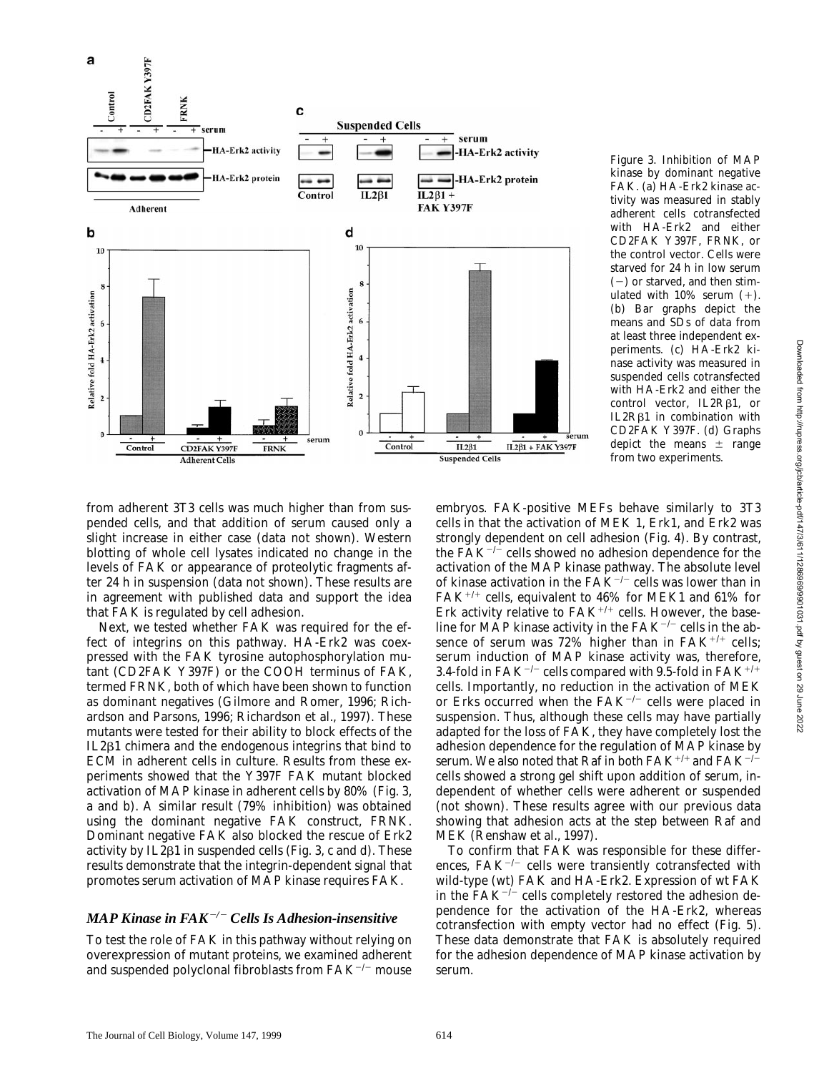

*Figure 3.* Inhibition of MAP kinase by dominant negative FAK. (a) HA-Erk2 kinase activity was measured in stably adherent cells cotransfected with HA-Erk2 and either CD2FAK Y397F, FRNK, or the control vector. Cells were starved for 24 h in low serum  $(-)$  or starved, and then stimulated with  $10\%$  serum  $(+)$ . (b) Bar graphs depict the means and SDs of data from at least three independent experiments. (c) HA-Erk2 kinase activity was measured in suspended cells cotransfected with HA-Erk2 and either the control vector,  $IL2R\beta1$ , or IL2R $\beta$ 1 in combination with CD2FAK Y397F. (d) Graphs depict the means  $\pm$  range from two experiments.

from adherent 3T3 cells was much higher than from suspended cells, and that addition of serum caused only a slight increase in either case (data not shown). Western blotting of whole cell lysates indicated no change in the levels of FAK or appearance of proteolytic fragments after 24 h in suspension (data not shown). These results are in agreement with published data and support the idea that FAK is regulated by cell adhesion.

Next, we tested whether FAK was required for the effect of integrins on this pathway. HA-Erk2 was coexpressed with the FAK tyrosine autophosphorylation mutant (CD2FAK Y397F) or the COOH terminus of FAK, termed FRNK, both of which have been shown to function as dominant negatives (Gilmore and Romer, 1996; Richardson and Parsons, 1996; Richardson et al., 1997). These mutants were tested for their ability to block effects of the IL2b1 chimera and the endogenous integrins that bind to ECM in adherent cells in culture. Results from these experiments showed that the Y397F FAK mutant blocked activation of MAP kinase in adherent cells by 80% (Fig. 3, a and b). A similar result (79% inhibition) was obtained using the dominant negative FAK construct, FRNK. Dominant negative FAK also blocked the rescue of Erk2 activity by  $IL2\beta1$  in suspended cells (Fig. 3, c and d). These results demonstrate that the integrin-dependent signal that promotes serum activation of MAP kinase requires FAK.

### *MAP Kinase in FAK*2*/*2 *Cells Is Adhesion-insensitive*

To test the role of FAK in this pathway without relying on overexpression of mutant proteins, we examined adherent and suspended polyclonal fibroblasts from  $FAK^{-/-}$  mouse

embryos. FAK-positive MEFs behave similarly to 3T3 cells in that the activation of MEK 1, Erk1, and Erk2 was strongly dependent on cell adhesion (Fig. 4). By contrast, the  $FAK^{-/-}$  cells showed no adhesion dependence for the activation of the MAP kinase pathway. The absolute level of kinase activation in the  $FAK^{-/-}$  cells was lower than in FAK<sup>+/+</sup> cells, equivalent to 46% for MEK1 and 61% for Erk activity relative to  $FAK^{+/+}$  cells. However, the baseline for MAP kinase activity in the  $FAK^{-/-}$  cells in the absence of serum was 72% higher than in  $FAK^{+/+}$  cells; serum induction of MAP kinase activity was, therefore, 3.4-fold in FAK<sup>-/-</sup> cells compared with 9.5-fold in FAK<sup>+/+</sup> cells. Importantly, no reduction in the activation of MEK or Erks occurred when the  $FAK^{-/-}$  cells were placed in suspension. Thus, although these cells may have partially adapted for the loss of FAK, they have completely lost the adhesion dependence for the regulation of MAP kinase by serum. We also noted that Raf in both  $FAK^{+/+}$  and  $FAK^{-/-}$ cells showed a strong gel shift upon addition of serum, independent of whether cells were adherent or suspended (not shown). These results agree with our previous data showing that adhesion acts at the step between Raf and MEK (Renshaw et al., 1997).

To confirm that FAK was responsible for these differences,  $FAK^{-/-}$  cells were transiently cotransfected with wild-type (wt) FAK and HA-Erk2. Expression of wt FAK in the  $FAK^{-/-}$  cells completely restored the adhesion dependence for the activation of the HA-Erk2, whereas cotransfection with empty vector had no effect (Fig. 5). These data demonstrate that FAK is absolutely required for the adhesion dependence of MAP kinase activation by serum.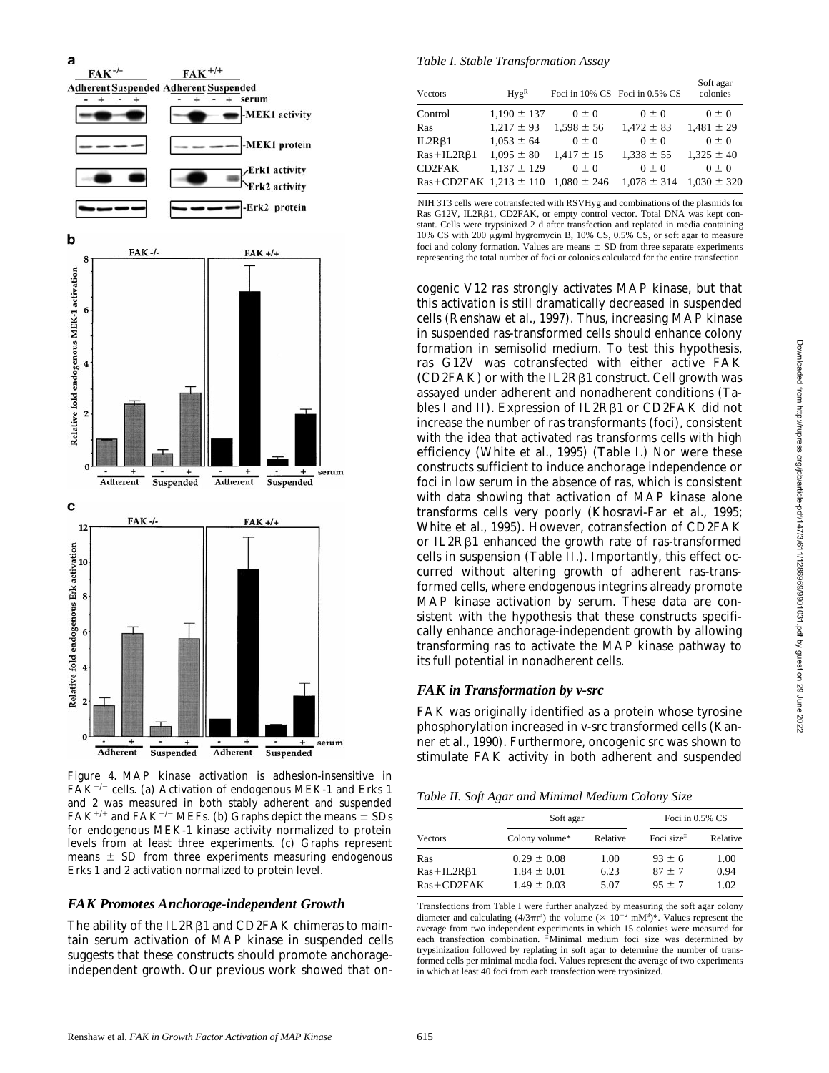

*Figure 4*. MAP kinase activation is adhesion-insensitive in  $FAK^{-/-}$  cells. (a) Activation of endogenous MEK-1 and Erks 1 and 2 was measured in both stably adherent and suspended  ${\rm FAK^{+/+}}$  and  ${\rm FAK^{-/-}}$  MEFs. (b) Graphs depict the means  $\pm$  SDs for endogenous MEK-1 kinase activity normalized to protein levels from at least three experiments. (c) Graphs represent means  $\pm$  SD from three experiments measuring endogenous Erks 1 and 2 activation normalized to protein level.

#### *FAK Promotes Anchorage-independent Growth*

The ability of the IL2R<sub>B1</sub> and CD2FAK chimeras to maintain serum activation of MAP kinase in suspended cells suggests that these constructs should promote anchorageindependent growth. Our previous work showed that on-

*Table I. Stable Transformation Assay*

| Vectors                        | Hv g <sup>R</sup> |                 | Foci in 10% CS Foci in 0.5% CS | Soft agar<br>colonies |
|--------------------------------|-------------------|-----------------|--------------------------------|-----------------------|
| Control                        | $1.190 \pm 137$   | $0 \pm 0$       | $0 \pm 0$                      | $0 \pm 0$             |
| Ras                            | $1.217 \pm 93$    | $1,598 \pm 56$  | $1,472 \pm 83$                 | $1,481 \pm 29$        |
| IL2R <sub>β1</sub>             | $1,053 \pm 64$    | $0 \pm 0$       | $0 \pm 0$                      | $0 \pm 0$             |
| $Ras+IL2R\beta1$               | $1.095 \pm 80$    | $1,417 \pm 15$  | $1.338 \pm 55$                 | $1.325 \pm 40$        |
| CD <sub>2FAK</sub>             | $1.137 \pm 129$   | $0 \pm 0$       | $0 \pm 0$                      | $0 \pm 0$             |
| $Ras + CD2FAK$ 1.213 $\pm$ 110 |                   | $1,080 \pm 246$ | $1.078 \pm 314$                | $1.030 \pm 320$       |

NIH 3T3 cells were cotransfected with RSVHyg and combinations of the plasmids for Ras G12V, IL2Rβ1, CD2FAK, or empty control vector. Total DNA was kept constant. Cells were trypsinized 2 d after transfection and replated in media containing 10% CS with 200 mg/ml hygromycin B, 10% CS, 0.5% CS, or soft agar to measure foci and colony formation. Values are means  $\pm$  SD from three separate experiments representing the total number of foci or colonies calculated for the entire transfection.

cogenic V12 *ras* strongly activates MAP kinase, but that this activation is still dramatically decreased in suspended cells (Renshaw et al., 1997). Thus, increasing MAP kinase in suspended *ras*-transformed cells should enhance colony formation in semisolid medium. To test this hypothesis, *ras* G12V was cotransfected with either active FAK  $(CD2FAK)$  or with the IL2R $\beta1$  construct. Cell growth was assayed under adherent and nonadherent conditions (Tables I and II). Expression of IL2R<sub>B1</sub> or CD2FAK did not increase the number of *ras* transformants (foci), consistent with the idea that activated *ras* transforms cells with high efficiency (White et al., 1995) (Table I.) Nor were these constructs sufficient to induce anchorage independence or foci in low serum in the absence of *ras*, which is consistent with data showing that activation of MAP kinase alone transforms cells very poorly (Khosravi-Far et al., 1995; White et al., 1995). However, cotransfection of CD2FAK or IL2Rb1 enhanced the growth rate of *ras*-transformed cells in suspension (Table II.). Importantly, this effect occurred without altering growth of adherent *ras*-transformed cells, where endogenous integrins already promote MAP kinase activation by serum. These data are consistent with the hypothesis that these constructs specifically enhance anchorage-independent growth by allowing transforming *ras* to activate the MAP kinase pathway to its full potential in nonadherent cells.

### *FAK in Transformation by v-src*

FAK was originally identified as a protein whose tyrosine phosphorylation increased in v-src transformed cells (Kanner et al., 1990). Furthermore, oncogenic *src* was shown to stimulate FAK activity in both adherent and suspended

*Table II. Soft Agar and Minimal Medium Colony Size*

|                  | Soft agar       | Foci in $0.5\%$ CS |                        |          |
|------------------|-----------------|--------------------|------------------------|----------|
| Vectors          | Colony volume*  | Relative           | Foci size <sup>†</sup> | Relative |
| Ras              | $0.29 \pm 0.08$ | 1.00               | $93 \pm 6$             | 1.00     |
| $Ras+IL2R\beta1$ | $1.84 \pm 0.01$ | 6.23               | $87 + 7$               | 0.94     |
| $Ras + CD2FAK$   | $1.49 \pm 0.03$ | 5.07               | $95 + 7$               | 1.02     |

Transfections from Table I were further analyzed by measuring the soft agar colony diameter and calculating  $(4/3\pi r^3)$  the volume  $(\times 10^{-2} \text{ mM}^3)^*$ . Values represent the average from two independent experiments in which 15 colonies were measured for each transfection combination. ‡Minimal medium foci size was determined by trypsinization followed by replating in soft agar to determine the number of transformed cells per minimal media foci. Values represent the average of two experiments in which at least 40 foci from each transfection were trypsinized.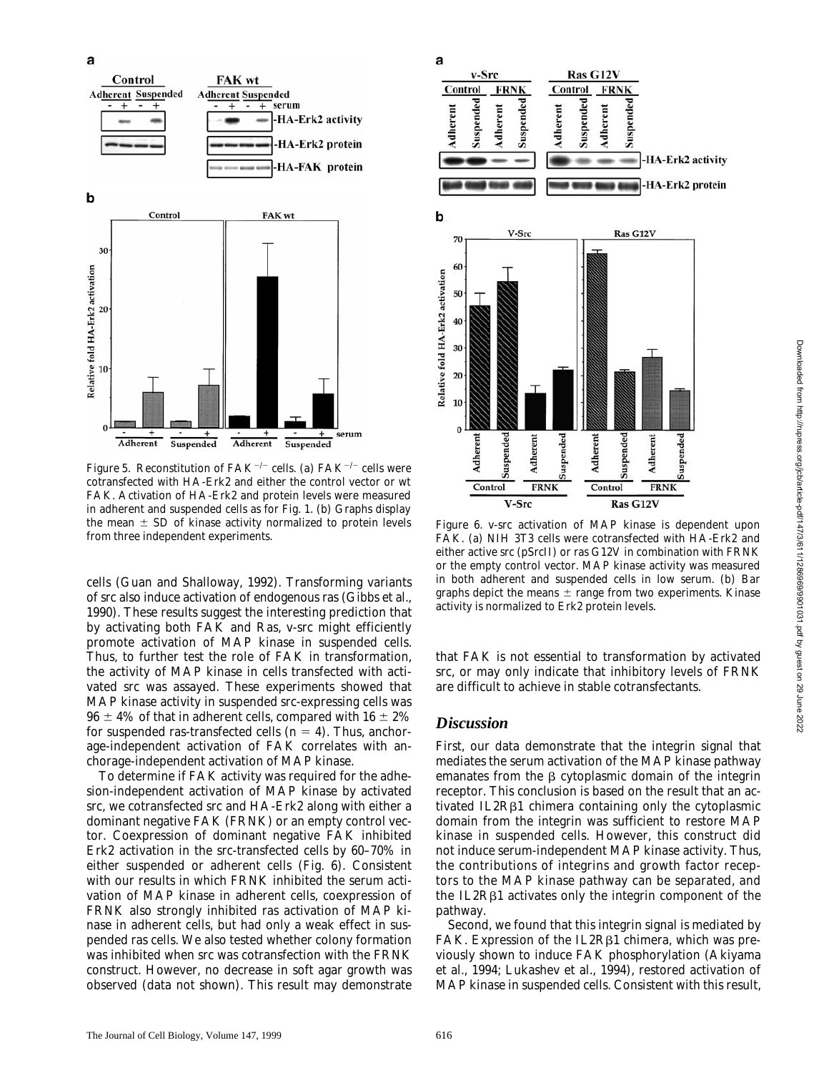

*Figure 5.* Reconstitution of FAK<sup> $-/-$ </sup> cells. (a) FAK<sup> $-/-$ </sup> cells were cotransfected with HA-Erk2 and either the control vector or wt FAK. Activation of HA-Erk2 and protein levels were measured in adherent and suspended cells as for Fig. 1. (b) Graphs display the mean  $\pm$  SD of kinase activity normalized to protein levels from three independent experiments.

cells (Guan and Shalloway, 1992). Transforming variants of src also induce activation of endogenous *ras* (Gibbs et al., 1990). These results suggest the interesting prediction that by activating both FAK and Ras, *v-src* might efficiently promote activation of MAP kinase in suspended cells. Thus, to further test the role of FAK in transformation, the activity of MAP kinase in cells transfected with activated *src* was assayed. These experiments showed that MAP kinase activity in suspended *src*-expressing cells was  $96 \pm 4\%$  of that in adherent cells, compared with  $16 \pm 2\%$ for suspended *ras*-transfected cells  $(n = 4)$ . Thus, anchorage-independent activation of FAK correlates with anchorage-independent activation of MAP kinase.

To determine if FAK activity was required for the adhesion-independent activation of MAP kinase by activated *src*, we cotransfected *src* and HA-Erk2 along with either a dominant negative FAK (FRNK) or an empty control vector. Coexpression of dominant negative FAK inhibited Erk2 activation in the *src*-transfected cells by 60–70% in either suspended or adherent cells (Fig. 6). Consistent with our results in which FRNK inhibited the serum activation of MAP kinase in adherent cells, coexpression of FRNK also strongly inhibited *ras* activation of MAP kinase in adherent cells, but had only a weak effect in suspended *ras* cells. We also tested whether colony formation was inhibited when *src* was cotransfection with the FRNK construct. However, no decrease in soft agar growth was observed (data not shown). This result may demonstrate



*Figure 6*. v-src activation of MAP kinase is dependent upon FAK. (a) NIH 3T3 cells were cotransfected with HA-Erk2 and either active src (pSrcII) or *ras* G12V in combination with FRNK or the empty control vector. MAP kinase activity was measured in both adherent and suspended cells in low serum. (b) Bar graphs depict the means  $\pm$  range from two experiments. Kinase activity is normalized to Erk2 protein levels.

that FAK is not essential to transformation by activated *src*, or may only indicate that inhibitory levels of FRNK are difficult to achieve in stable cotransfectants.

### *Discussion*

First, our data demonstrate that the integrin signal that mediates the serum activation of the MAP kinase pathway emanates from the  $\beta$  cytoplasmic domain of the integrin receptor. This conclusion is based on the result that an activated IL2Rβ1 chimera containing only the cytoplasmic domain from the integrin was sufficient to restore MAP kinase in suspended cells. However, this construct did not induce serum-independent MAP kinase activity. Thus, the contributions of integrins and growth factor receptors to the MAP kinase pathway can be separated, and the IL2Rβ1 activates only the integrin component of the pathway.

Second, we found that this integrin signal is mediated by  $FAK$ . Expression of the IL2R $\beta$ 1 chimera, which was previously shown to induce FAK phosphorylation (Akiyama et al., 1994; Lukashev et al., 1994), restored activation of MAP kinase in suspended cells. Consistent with this result,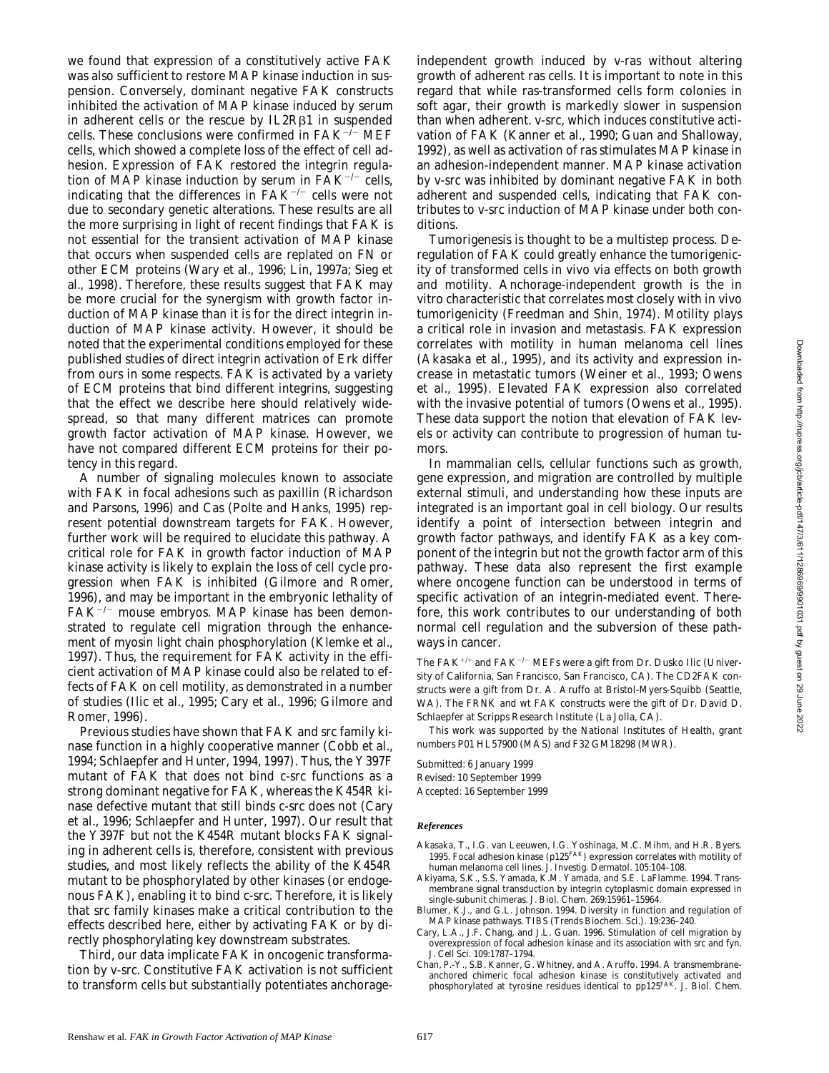we found that expression of a constitutively active FAK was also sufficient to restore MAP kinase induction in suspension. Conversely, dominant negative FAK constructs inhibited the activation of MAP kinase induced by serum in adherent cells or the rescue by IL2R<sub>B1</sub> in suspended cells. These conclusions were confirmed in  $FAK^{-/-}$  MEF cells, which showed a complete loss of the effect of cell adhesion. Expression of FAK restored the integrin regulation of MAP kinase induction by serum in  $FAK^{-/-}$  cells, indicating that the differences in  $FAK^{-/-}$  cells were not due to secondary genetic alterations. These results are all the more surprising in light of recent findings that FAK is not essential for the transient activation of MAP kinase that occurs when suspended cells are replated on FN or other ECM proteins (Wary et al., 1996; Lin, 1997a; Sieg et al., 1998). Therefore, these results suggest that FAK may be more crucial for the synergism with growth factor induction of MAP kinase than it is for the direct integrin induction of MAP kinase activity. However, it should be noted that the experimental conditions employed for these published studies of direct integrin activation of Erk differ from ours in some respects. FAK is activated by a variety of ECM proteins that bind different integrins, suggesting that the effect we describe here should relatively widespread, so that many different matrices can promote growth factor activation of MAP kinase. However, we have not compared different ECM proteins for their potency in this regard.

A number of signaling molecules known to associate with FAK in focal adhesions such as paxillin (Richardson and Parsons, 1996) and Cas (Polte and Hanks, 1995) represent potential downstream targets for FAK. However, further work will be required to elucidate this pathway. A critical role for FAK in growth factor induction of MAP kinase activity is likely to explain the loss of cell cycle progression when FAK is inhibited (Gilmore and Romer, 1996), and may be important in the embryonic lethality of  $FAK^{-/-}$  mouse embryos. MAP kinase has been demonstrated to regulate cell migration through the enhancement of myosin light chain phosphorylation (Klemke et al., 1997). Thus, the requirement for FAK activity in the efficient activation of MAP kinase could also be related to effects of FAK on cell motility, as demonstrated in a number of studies (Ilic et al., 1995; Cary et al., 1996; Gilmore and Romer, 1996).

Previous studies have shown that FAK and src family kinase function in a highly cooperative manner (Cobb et al., 1994; Schlaepfer and Hunter, 1994, 1997). Thus, the Y397F mutant of FAK that does not bind c-src functions as a strong dominant negative for FAK, whereas the K454R kinase defective mutant that still binds c-src does not (Cary et al., 1996; Schlaepfer and Hunter, 1997). Our result that the Y397F but not the K454R mutant blocks FAK signaling in adherent cells is, therefore, consistent with previous studies, and most likely reflects the ability of the K454R mutant to be phosphorylated by other kinases (or endogenous FAK), enabling it to bind c-src. Therefore, it is likely that src family kinases make a critical contribution to the effects described here, either by activating FAK or by directly phosphorylating key downstream substrates.

Third, our data implicate FAK in oncogenic transformation by *v-src*. Constitutive FAK activation is not sufficient to transform cells but substantially potentiates anchorage-

independent growth induced by v-*ras* without altering growth of adherent *ras* cells. It is important to note in this regard that while *ras*-transformed cells form colonies in soft agar, their growth is markedly slower in suspension than when adherent. *v-src*, which induces constitutive activation of FAK (Kanner et al., 1990; Guan and Shalloway, 1992), as well as activation of *ras* stimulates MAP kinase in an adhesion-independent manner. MAP kinase activation by *v-src* was inhibited by dominant negative FAK in both adherent and suspended cells, indicating that FAK contributes to *v-src* induction of MAP kinase under both conditions.

Tumorigenesis is thought to be a multistep process. Deregulation of FAK could greatly enhance the tumorigenicity of transformed cells in vivo via effects on both growth and motility. Anchorage-independent growth is the in vitro characteristic that correlates most closely with in vivo tumorigenicity (Freedman and Shin, 1974). Motility plays a critical role in invasion and metastasis. FAK expression correlates with motility in human melanoma cell lines (Akasaka et al., 1995), and its activity and expression increase in metastatic tumors (Weiner et al., 1993; Owens et al., 1995). Elevated FAK expression also correlated with the invasive potential of tumors (Owens et al., 1995). These data support the notion that elevation of FAK levels or activity can contribute to progression of human tumors.

In mammalian cells, cellular functions such as growth, gene expression, and migration are controlled by multiple external stimuli, and understanding how these inputs are integrated is an important goal in cell biology. Our results identify a point of intersection between integrin and growth factor pathways, and identify FAK as a key component of the integrin but not the growth factor arm of this pathway. These data also represent the first example where oncogene function can be understood in terms of specific activation of an integrin-mediated event. Therefore, this work contributes to our understanding of both normal cell regulation and the subversion of these pathways in cancer.

The FAK+/+ and FAK<sup>-/-</sup> MEFs were a gift from Dr. Dusko Ilic (University of California, San Francisco, San Francisco, CA). The CD2FAK constructs were a gift from Dr. A. Aruffo at Bristol-Myers-Squibb (Seattle, WA). The FRNK and wt FAK constructs were the gift of Dr. David D. Schlaepfer at Scripps Research Institute (La Jolla, CA).

This work was supported by the National Institutes of Health, grant numbers P01 HL57900 (MAS) and F32 GM18298 (MWR).

Submitted: 6 January 1999 Revised: 10 September 1999 Accepted: 16 September 1999

#### *References*

- Akasaka, T., I.G. van Leeuwen, I.G. Yoshinaga, M.C. Mihm, and H.R. Byers. 1995. Focal adhesion kinase (p125FAK) expression correlates with motility of human melanoma cell lines. *J. Investig. Dermatol.* 105:104–108.
- Akiyama, S.K., S.S. Yamada, K.M. Yamada, and S.E. LaFlamme. 1994. Transmembrane signal transduction by integrin cytoplasmic domain expressed in single-subunit chimeras. *J. Biol. Chem.* 269:15961–15964.
- Blumer, K.J., and G.L. Johnson. 1994. Diversity in function and regulation of MAP kinase pathways. *TIBS (Trends Biochem. Sci.)*. 19:236–240.
- Cary, L.A., J.F. Chang, and J.L. Guan. 1996. Stimulation of cell migration by overexpression of focal adhesion kinase and its association with src and fyn. *J. Cell Sci.* 109:1787–1794.
- Chan, P.-Y., S.B. Kanner, G. Whitney, and A. Aruffo. 1994. A transmembraneanchored chimeric focal adhesion kinase is constitutively activated and<br>phosphorylated at tyrosine residues identical to pp125<sup>FAK</sup>. *J. Biol. Chem.*